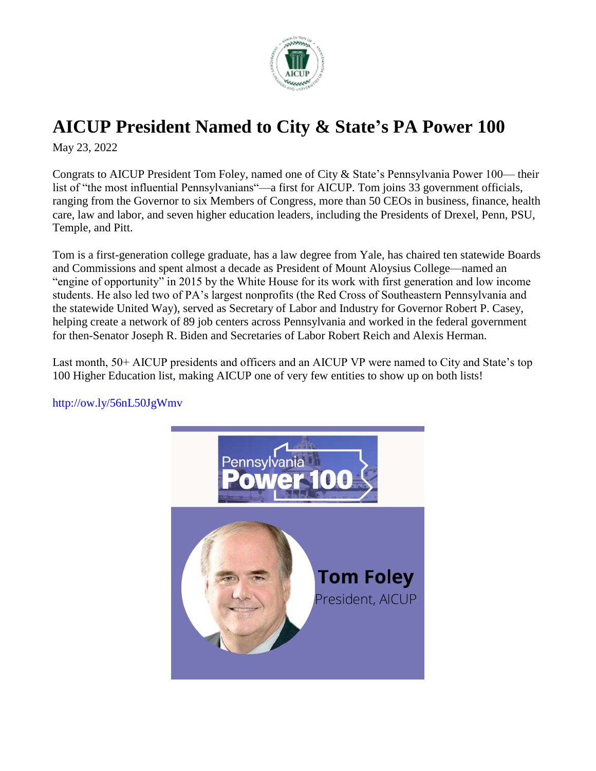

## **[AICUP](https://www.facebook.com/AICUP1/?__cft__%5b0%5d=AZVeSjKIgGimCVnUN1Nj4yr20LsfT7Zc_X0_05qlMazuuCB1v0h8A2hCtMG_CZDGrZk3CP4tNpEPSf7Bd0gs-C80agYhe3Y8UhKlZD1OLIvxXFhTq88lHWaLtObbubZZmY7ICXWh9AV2eLH_riFpEqW-3cr7fCKN9Bpt8pcNRaSkhr9wruzCaIP_I-wJmRJsRVM&__tn__=-UC%2CP-R) President Named to City & State's PA Power 100**

May 23, 2022

Congrats to AICUP President Tom Foley, named one of City & State's Pennsylvania Power 100— their list of "the most influential Pennsylvanians"—a first for AICUP. Tom joins 33 government officials, ranging from the Governor to six Members of Congress, more than 50 CEOs in business, finance, health care, law and labor, and seven higher education leaders, including the Presidents of Drexel, Penn, PSU, Temple, and Pitt.

Tom is a first-generation college graduate, has a law degree from Yale, has chaired ten statewide Boards and Commissions and spent almost a decade as President of Mount Aloysius College—named an "engine of opportunity" in 2015 by the White House for its work with first generation and low income students. He also led two of PA's largest nonprofits (the Red Cross of Southeastern Pennsylvania and the statewide United Way), served as Secretary of Labor and Industry for Governor Robert P. Casey, helping create a network of 89 job centers across Pennsylvania and worked in the federal government for then-Senator Joseph R. Biden and Secretaries of Labor Robert Reich and Alexis Herman.

Last month, 50+ AICUP presidents and officers and an AICUP VP were named to City and State's top 100 Higher Education list, making AICUP one of very few entities to show up on both lists!



[http://ow.ly/56nL50JgWmv](https://l.facebook.com/l.php?u=http%3A%2F%2Fow.ly%2F56nL50JgWmv%3Ffbclid%3DIwAR0Fz5cZGvwu2ZDiSri3ToQSyEURamMsjvZ3weYS8Yxz_tHQo1SWUVzcpDk&h=AT2ao2oNIkM2yxQE7mqPpIaoY4Rtp5UnlhjtsULG9Ezek8rNEGe_Q4ep_NG5YQ9nLrPOWNVefsJEg1G_C8ITvxoQXcydDupN-jkCEO8RDwo1pWWYMrX4hB1s6mqOymNJNnl_&__tn__=-UK-R&c%5b0%5d=AT0oqAvTjl_bsBHLZ7Sr_RnBz950it_t8f8q-V8D2Xxdl2bfE1oc27JVeNtH25ku68FZCRnCo5SQQmUfDBMBSFYK7Iaxui9X7RWH7sOMcPGjmIpFvIc3jPpPbv9YX84kaJQUvI_qoZQpO16_TTV_xK8uOatGQui0UGSOw16MTYbTWy8lwV_XQz_m_StyTzNjVn1CYT2LRtcy)